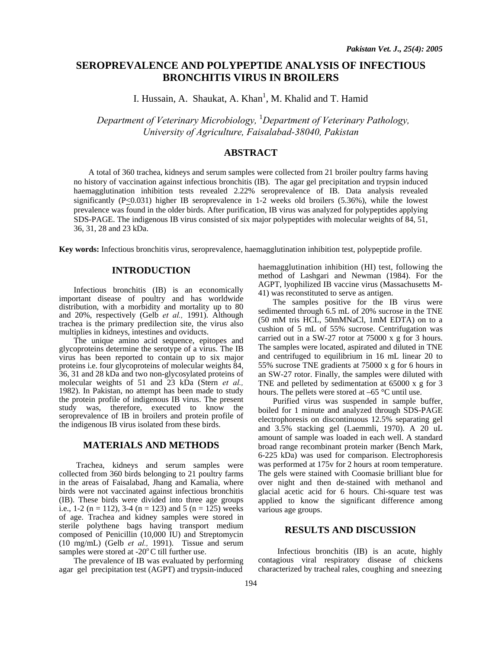# **SEROPREVALENCE AND POLYPEPTIDE ANALYSIS OF INFECTIOUS BRONCHITIS VIRUS IN BROILERS**

I. Hussain, A. Shaukat, A. Khan<sup>1</sup>, M. Khalid and T. Hamid

 *Department of Veterinary Microbiology,* <sup>1</sup> *Department of Veterinary Pathology, University of Agriculture, Faisalabad-38040, Pakistan* 

### **ABSTRACT**

A total of 360 trachea, kidneys and serum samples were collected from 21 broiler poultry farms having no history of vaccination against infectious bronchitis (IB). The agar gel precipitation and trypsin induced haemagglutination inhibition tests revealed 2.22% seroprevalence of IB. Data analysis revealed significantly (P<0.031) higher IB seroprevalence in 1-2 weeks old broilers (5.36%), while the lowest prevalence was found in the older birds. After purification, IB virus was analyzed for polypeptides applying SDS-PAGE. The indigenous IB virus consisted of six major polypeptides with molecular weights of 84, 51, 36, 31, 28 and 23 kDa.

**Key words:** Infectious bronchitis virus, seroprevalence, haemagglutination inhibition test, polypeptide profile.

# **INTRODUCTION**

Infectious bronchitis (IB) is an economically important disease of poultry and has worldwide distribution, with a morbidity and mortality up to 80 and 20%, respectively (Gelb *et al.,* 1991). Although trachea is the primary predilection site, the virus also multiplies in kidneys, intestines and oviducts.

The unique amino acid sequence, epitopes and glycoproteins determine the serotype of a virus. The IB virus has been reported to contain up to six major proteins i.e. four glycoproteins of molecular weights 84, 36, 31 and 28 kDa and two non-glycosylated proteins of molecular weights of 51 and 23 kDa (Stern *et al.,*  1982). In Pakistan, no attempt has been made to study the protein profile of indigenous IB virus. The present study was, therefore, executed to know the seroprevalence of IB in broilers and protein profile of the indigenous IB virus isolated from these birds.

# **MATERIALS AND METHODS**

Trachea, kidneys and serum samples were collected from 360 birds belonging to 21 poultry farms in the areas of Faisalabad, Jhang and Kamalia, where birds were not vaccinated against infectious bronchitis (IB). These birds were divided into three age groups i.e., 1-2 (n = 112), 3-4 (n = 123) and 5 (n = 125) weeks of age. Trachea and kidney samples were stored in sterile polythene bags having transport medium composed of Penicillin (10,000 IU) and Streptomycin (10 mg/mL) (Gelb *et al.,* 1991). Tissue and serum samples were stored at -20 $^{\circ}$ C till further use.

The prevalence of IB was evaluated by performing agar gel precipitation test (AGPT) and trypsin-induced

haemagglutination inhibition (HI) test, following the method of Lashgari and Newman (1984). For the AGPT, lyophilized IB vaccine virus (Massachusetts M-41) was reconstituted to serve as antigen.

The samples positive for the IB virus were sedimented through 6.5 mL of 20% sucrose in the TNE (50 mM tris HCL, 50mMNaCl, 1mM EDTA) on to a cushion of 5 mL of 55% sucrose. Centrifugation was carried out in a SW-27 rotor at 75000 x g for 3 hours. The samples were located, aspirated and diluted in TNE and centrifuged to equilibrium in 16 mL linear 20 to 55% sucrose TNE gradients at 75000 x g for 6 hours in an SW-27 rotor. Finally, the samples were diluted with TNE and pelleted by sedimentation at 65000 x g for 3 hours. The pellets were stored at –65 °C until use.

Purified virus was suspended in sample buffer, boiled for 1 minute and analyzed through SDS-PAGE electrophoresis on discontinuous 12.5% separating gel and 3.5% stacking gel (Laemmli, 1970). A 20 uL amount of sample was loaded in each well. A standard broad range recombinant protein marker (Bench Mark, 6-225 kDa) was used for comparison. Electrophoresis was performed at 175v for 2 hours at room temperature. The gels were stained with Coomasie brilliant blue for over night and then de-stained with methanol and glacial acetic acid for 6 hours. Chi-square test was applied to know the significant difference among various age groups.

#### **RESULTS AND DISCUSSION**

Infectious bronchitis (IB) is an acute, highly contagious viral respiratory disease of chickens characterized by tracheal rales, coughing and sneezing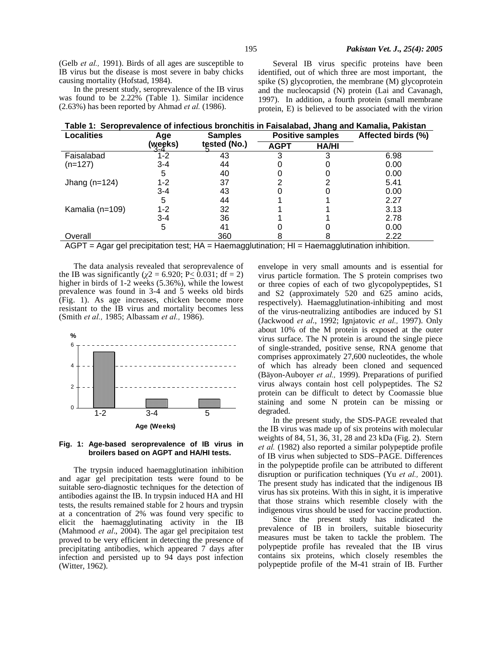(Gelb *et al.,* 1991). Birds of all ages are susceptible to IB virus but the disease is most severe in baby chicks causing mortality (Hofstad, 1984).

In the present study, seroprevalence of the IB virus was found to be 2.22% (Table 1). Similar incidence (2.63%) has been reported by Ahmad *et al.* (1986).

Several IB virus specific proteins have been identified, out of which three are most important, the spike (S) glycoprotien, the membrane (M) glycoprotein and the nucleocapsid (N) protein (Lai and Cavanagh, 1997). In addition, a fourth protein (small membrane protein, E) is believed to be associated with the virion

|  | Table 1:  Seroprevalence of infectious bronchitis in Faisalabad, Jhang and Kamalia, Pakistan |  |  |  |  |  |  |
|--|----------------------------------------------------------------------------------------------|--|--|--|--|--|--|
|--|----------------------------------------------------------------------------------------------|--|--|--|--|--|--|

| <b>Localities</b> | Age<br>(weeks) | <b>Samples</b><br>tested (No.) | <b>Positive samples</b> |              | Affected birds (%) |  |
|-------------------|----------------|--------------------------------|-------------------------|--------------|--------------------|--|
|                   |                |                                | <b>AGPT</b>             | <b>HA/HI</b> |                    |  |
| Faisalabad        | 1-2            | 43                             |                         |              | 6.98               |  |
| $(n=127)$         | $3 - 4$        | 44                             |                         |              | 0.00               |  |
|                   | 5              | 40                             |                         |              | 0.00               |  |
| Jhang $(n=124)$   | $1 - 2$        | 37                             |                         |              | 5.41               |  |
|                   | $3 - 4$        | 43                             |                         |              | 0.00               |  |
|                   | 5              | 44                             |                         |              | 2.27               |  |
| Kamalia (n=109)   | $1 - 2$        | 32                             |                         |              | 3.13               |  |
|                   | $3 - 4$        | 36                             |                         |              | 2.78               |  |
|                   | 5              | 41                             |                         |              | 0.00               |  |
| Overall           |                | 360                            |                         |              | 2.22               |  |

 $AGPT = Agar gel precipitation test$ ;  $HA = Haemagglutination$ ;  $HI = Haemagglutination inhibitor$ .

The data analysis revealed that seroprevalence of the IB was significantly ( $\chi$ 2 = 6.920; P< 0.031; df = 2) higher in birds of 1-2 weeks (5.36%), while the lowest prevalence was found in 3-4 and 5 weeks old birds (Fig. 1). As age increases, chicken become more resistant to the IB virus and mortality becomes less (Smith *et al.,* 1985; Albassam *et al.,* 1986).





The trypsin induced haemagglutination inhibition and agar gel precipitation tests were found to be suitable sero-diagnostic techniques for the detection of antibodies against the IB. In trypsin induced HA and HI tests, the results remained stable for 2 hours and trypsin at a concentration of 2% was found very specific to elicit the haemagglutinating activity in the IB (Mahmood *et al*., 2004). The agar gel precipitaion test proved to be very efficient in detecting the presence of precipitating antibodies, which appeared 7 days after infection and persisted up to 94 days post infection (Witter, 1962).

envelope in very small amounts and is essential for virus particle formation. The S protein comprises two or three copies of each of two glycopolypeptides, S1 and S2 (approximately 520 and 625 amino acids, respectively). Haemagglutination-inhibiting and most of the virus-neutralizing antibodies are induced by S1 (Jackwood *et al*., 1992; Ignjatovic *et al.,* 1997). Only about 10% of the M protein is exposed at the outer virus surface. The N protein is around the single piece of single-stranded, positive sense, RNA genome that comprises approximately 27,600 nucleotides, the whole of which has already been cloned and sequenced (Bäyon-Auboyer *et al.,* 1999). Preparations of purified virus always contain host cell polypeptides. The S2 protein can be difficult to detect by Coomassie blue staining and some N protein can be missing or degraded.

In the present study, the SDS-PAGE revealed that the IB virus was made up of six proteins with molecular weights of 84, 51, 36, 31, 28 and 23 kDa (Fig. 2). Stern *et al.* (1982) also reported a similar polypeptide profile of IB virus when subjected to SDS–PAGE. Differences in the polypeptide profile can be attributed to different disruption or purification techniques (Yu *et al.,* 2001). The present study has indicated that the indigenous IB virus has six proteins. With this in sight, it is imperative that those strains which resemble closely with the indigenous virus should be used for vaccine production.

Since the present study has indicated the prevalence of IB in broilers, suitable biosecurity measures must be taken to tackle the problem. The polypeptide profile has revealed that the IB virus contains six proteins, which closely resembles the polypeptide profile of the M-41 strain of IB. Further